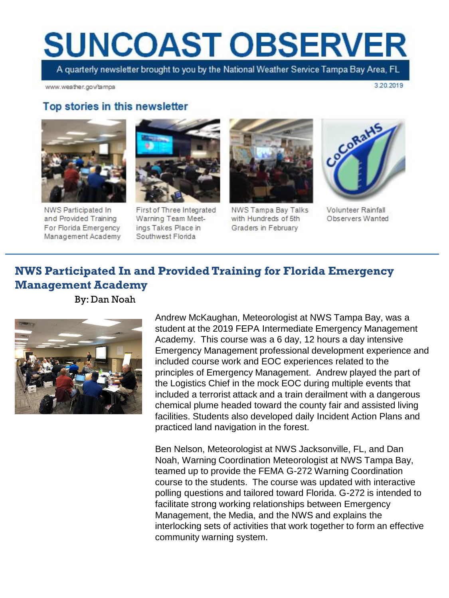# **SUNCOAST OBSERVER**

A quarterly newsletter brought to you by the National Weather Service Tampa Bay Area, FL

www.weather.gov/tampa

3.20.2019

#### Top stories in this newsletter



NWS Participated In and Provided Training For Florida Emergency Management Academy



First of Three Integrated Warning Team Meetings Takes Place in Southwest Florida



NWS Tampa Bay Talks with Hundreds of 5th Graders in February



**Volunteer Rainfall** Observers Wanted

## **NWS Participated In and Provided Training for Florida Emergency Management Academy**

By: Dan Noah



Andrew McKaughan, Meteorologist at NWS Tampa Bay, was a student at the 2019 FEPA Intermediate Emergency Management Academy. This course was a 6 day, 12 hours a day intensive Emergency Management professional development experience and included course work and EOC experiences related to the principles of Emergency Management. Andrew played the part of the Logistics Chief in the mock EOC during multiple events that included a terrorist attack and a train derailment with a dangerous chemical plume headed toward the county fair and assisted living facilities. Students also developed daily Incident Action Plans and practiced land navigation in the forest.

Ben Nelson, Meteorologist at NWS Jacksonville, FL, and Dan Noah, Warning Coordination Meteorologist at NWS Tampa Bay, teamed up to provide the FEMA G-272 Warning Coordination course to the students. The course was updated with interactive polling questions and tailored toward Florida. G-272 is intended to facilitate strong working relationships between Emergency Management, the Media, and the NWS and explains the interlocking sets of activities that work together to form an effective community warning system.